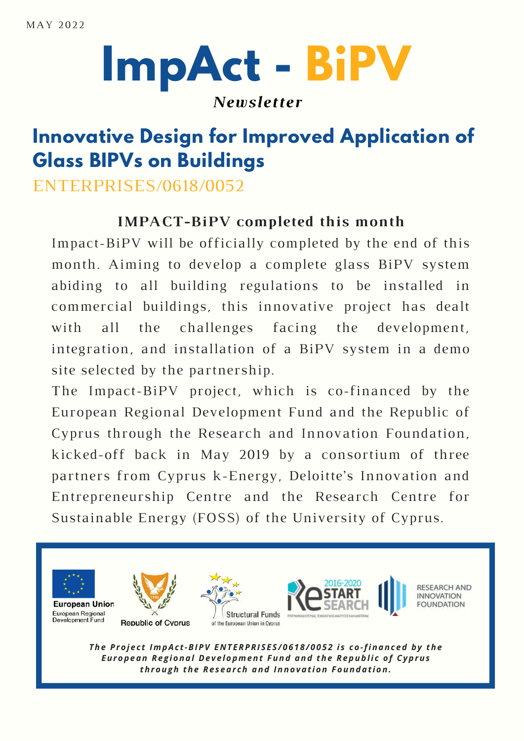## **ImpAct - BiPV**

#### *Newsletter*

#### **Innovative Design for Improved Application of Glass BIPVs on Buildings**

ENTERPRISES/0618/0052

#### **IMPACT-BiPV completed this month**

Impact-BiPV will be officially completed by the end of this month. Aiming to develop a complete glass BiPV system abiding to all building regulations to be installed in commercial buildings, this innovative project has dealt with all the challenges facing the development, integration, and installation of a BiPV system in a demo site selected by the partnership.

The Impact-BiPV project, which is co-financed by the European Regional Development Fund and the Republic of Cyprus through the Research and Innovation Foundation, kicked-off back in May 2019 by a consortium of three partners from Cyprus k-Energy, Deloitte's Innovation and Entrepreneurship Centre and the Research Centre for Sustainable Energy (FOSS) of the University of Cyprus.



The Project ImpAct-BIPV ENTERPRISES/0618/0052 is co-financed by the *European Re g ional De v e lopment Fund and the Republi c of Cyprus through the Re s ear ch and Innovat ion Foundat ion.*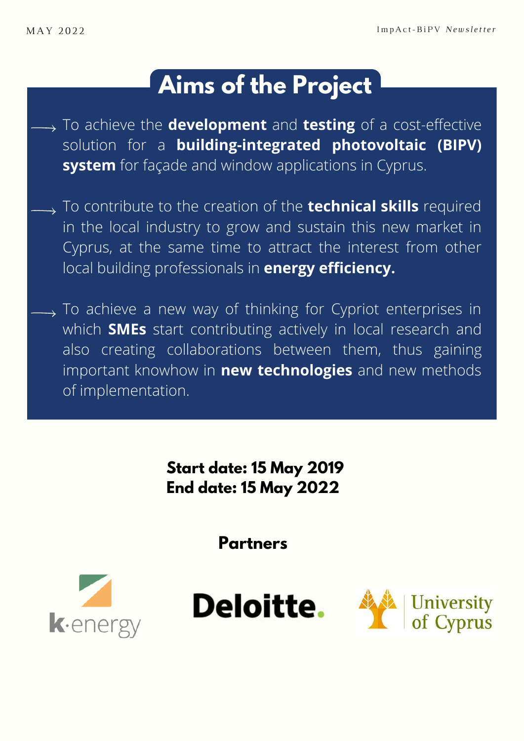### **Aims of the Project**

- To achieve the **development** and **testing** of a cost-effective solution for a **building-integrated photovoltaic (BIPV) system** for façade and window applications in Cyprus.
- To contribute to the creation of the **technical skills** required in the local industry to grow and sustain this new market in Cyprus, at the same time to attract the interest from other local building professionals in **energy efficiency.**
	- $\rightarrow$  To achieve a new way of thinking for Cypriot enterprises in which **SMEs** start contributing actively in local research and also creating collaborations between them, thus gaining important knowhow in **new technologies** and new methods of implementation.

**Start date: 15 May 2019 End date: 15 May 2022**

**Partners**





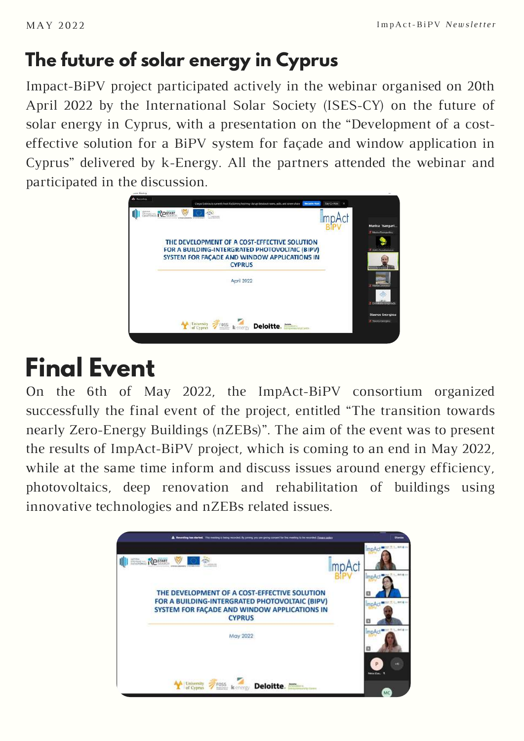#### **The future of solar energy in Cyprus**

Impact-BiPV project participated actively in the webinar organised on 20th April 2022 by the International Solar Society (ISES-CY) on the future of solar energy in Cyprus, with a presentation on the "Development of a costeffective solution for a BiPV system for façade and window application in Cyprus" delivered by k-Energy. All the partners attended the webinar and participated in the discussion.



### **Final Event**

On the 6th of May 2022, the ImpAct-BiPV consortium organized successfully the final event of the project, entitled "The transition towards nearly Zero-Energy Buildings (nZEBs)". The aim of the event was to present the results of ImpAct-BiPV project, which is coming to an end in May 2022, while at the same time inform and discuss issues around energy efficiency, photovoltaics, deep renovation and rehabilitation of buildings using innovative technologies and nZEBs related issues.

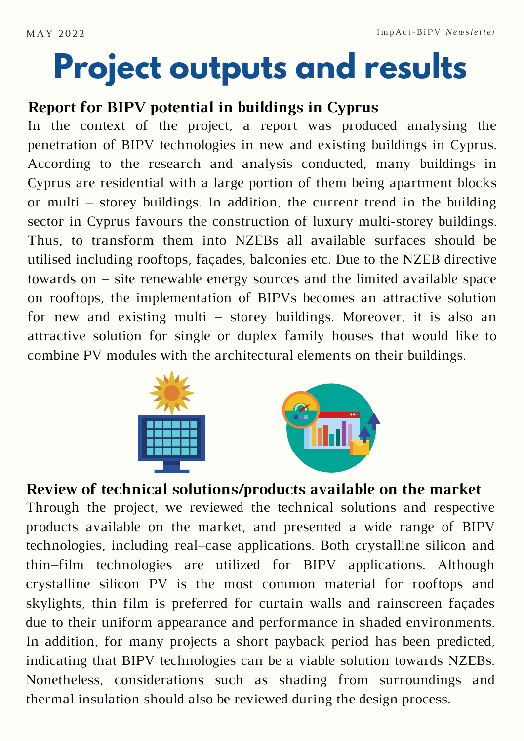## **Project outputs and results**

#### **Report for BIPV potential in buildings in Cyprus**

In the context of the project, a report was produced analysing the penetration of BIPV technologies in new and existing buildings in Cyprus. According to the research and analysis conducted, many buildings in Cyprus are residential with a large portion of them being apartment blocks or multi – storey buildings. In addition, the current trend in the building sector in Cyprus favours the construction of luxury multi-storey buildings. Thus, to transform them into NZEBs all available surfaces should be utilised including rooftops, façades, balconies etc. Due to the NZEB directive towards on – site renewable energy sources and the limited available space on rooftops, the implementation of BIPVs becomes an attractive solution for new and existing multi – storey buildings. Moreover, it is also an attractive solution for single or duplex family houses that would like to combine PV modules with the architectural elements on their buildings.



**Review of technical solutions/products available on the market** Through the project, we reviewed the technical solutions and respective products available on the market, and presented a wide range of BIPV technologies, including real–case applications. Both crystalline silicon and thin–film technologies are utilized for BIPV applications. Although crystalline silicon PV is the most common material for rooftops and skylights, thin film is preferred for curtain walls and rainscreen façades due to their uniform appearance and performance in shaded environments. In addition, for many projects a short payback period has been predicted, indicating that BIPV technologies can be a viable solution towards NZEBs. Nonetheless, considerations such as shading from surroundings and thermal insulation should also be reviewed during the design process.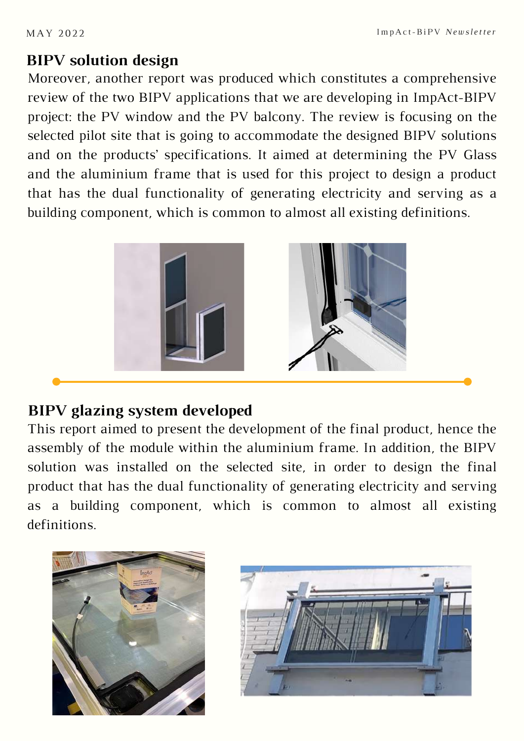#### **BIPV solution design**

Moreover, another report was produced which constitutes a comprehensive review of the two BIPV applications that we are developing in ImpAct-BIPV project: the PV window and the PV balcony. The review is focusing on the selected pilot site that is going to accommodate the designed BIPV solutions and on the products' specifications. It aimed at determining the PV Glass and the aluminium frame that is used for this project to design a product that has the dual functionality of generating electricity and serving as a building component, which is common to almost all existing definitions.



#### **BIPV glazing system developed**

This report aimed to present the development of the final product, hence the assembly of the module within the aluminium frame. In addition, the BIPV solution was installed on the selected site, in order to design the final product that has the dual functionality of generating electricity and serving as a building component, which is common to almost all existing definitions.



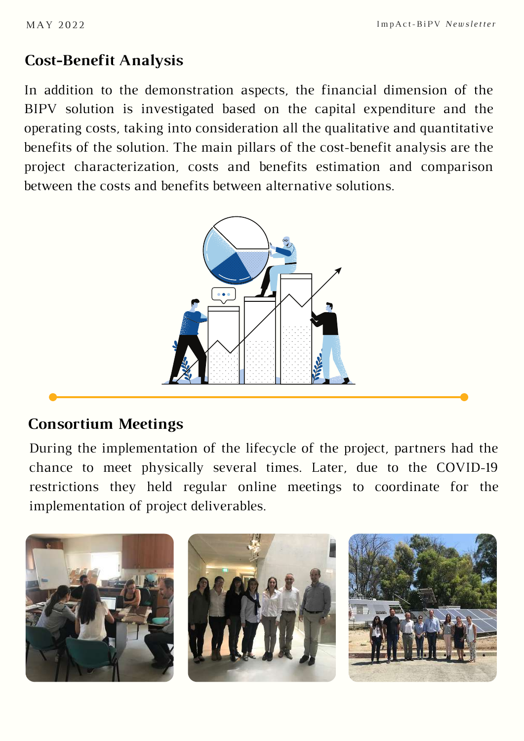#### **Cost-Benefit Analysis**

In addition to the demonstration aspects, the financial dimension of the BIPV solution is investigated based on the capital expenditure and the operating costs, taking into consideration all the qualitative and quantitative benefits of the solution. The main pillars of the cost-benefit analysis are the project characterization, costs and benefits estimation and comparison between the costs and benefits between alternative solutions.



#### **Consortium Meetings**

During the implementation of the lifecycle of the project, partners had the chance to meet physically several times. Later, due to the COVID-19 restrictions they held regular online meetings to coordinate for the implementation of project deliverables.